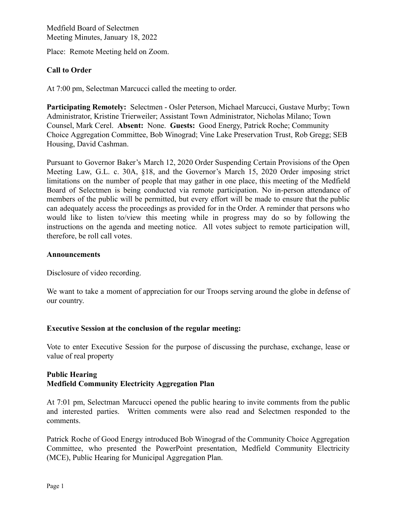Place: Remote Meeting held on Zoom.

# **Call to Order**

At 7:00 pm, Selectman Marcucci called the meeting to order.

**Participating Remotely:** Selectmen - Osler Peterson, Michael Marcucci, Gustave Murby; Town Administrator, Kristine Trierweiler; Assistant Town Administrator, Nicholas Milano; Town Counsel, Mark Cerel. **Absent:** None. **Guests:** Good Energy, Patrick Roche; Community Choice Aggregation Committee, Bob Winograd; Vine Lake Preservation Trust, Rob Gregg; SEB Housing, David Cashman.

Pursuant to Governor Baker's March 12, 2020 Order Suspending Certain Provisions of the Open Meeting Law, G.L. c. 30A, §18, and the Governor's March 15, 2020 Order imposing strict limitations on the number of people that may gather in one place, this meeting of the Medfield Board of Selectmen is being conducted via remote participation. No in-person attendance of members of the public will be permitted, but every effort will be made to ensure that the public can adequately access the proceedings as provided for in the Order. A reminder that persons who would like to listen to/view this meeting while in progress may do so by following the instructions on the agenda and meeting notice. All votes subject to remote participation will, therefore, be roll call votes.

## **Announcements**

Disclosure of video recording.

We want to take a moment of appreciation for our Troops serving around the globe in defense of our country.

## **Executive Session at the conclusion of the regular meeting:**

Vote to enter Executive Session for the purpose of discussing the purchase, exchange, lease or value of real property

# **Public Hearing Medfield Community Electricity Aggregation Plan**

At 7:01 pm, Selectman Marcucci opened the public hearing to invite comments from the public and interested parties. Written comments were also read and Selectmen responded to the comments.

Patrick Roche of Good Energy introduced Bob Winograd of the Community Choice Aggregation Committee, who presented the PowerPoint presentation, Medfield Community Electricity (MCE), Public Hearing for Municipal Aggregation Plan.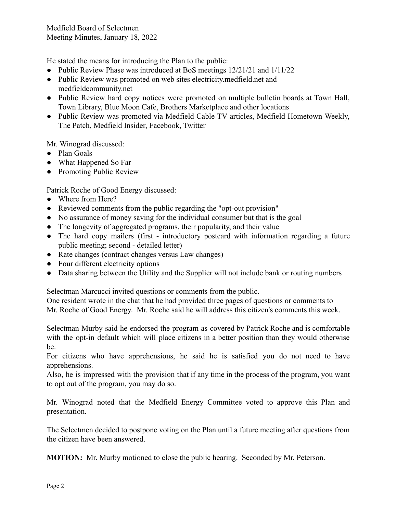He stated the means for introducing the Plan to the public:

- Public Review Phase was introduced at BoS meetings 12/21/21 and 1/11/22
- Public Review was promoted on web sites electricity.medfield.net and medfieldcommunity.net
- Public Review hard copy notices were promoted on multiple bulletin boards at Town Hall, Town Library, Blue Moon Cafe, Brothers Marketplace and other locations
- Public Review was promoted via Medfield Cable TV articles, Medfield Hometown Weekly, The Patch, Medfield Insider, Facebook, Twitter

Mr. Winograd discussed:

- Plan Goals
- What Happened So Far
- Promoting Public Review

Patrick Roche of Good Energy discussed:

- Where from Here?
- Reviewed comments from the public regarding the "opt-out provision"
- No assurance of money saving for the individual consumer but that is the goal
- The longevity of aggregated programs, their popularity, and their value
- The hard copy mailers (first introductory postcard with information regarding a future public meeting; second - detailed letter)
- Rate changes (contract changes versus Law changes)
- Four different electricity options
- Data sharing between the Utility and the Supplier will not include bank or routing numbers

Selectman Marcucci invited questions or comments from the public.

One resident wrote in the chat that he had provided three pages of questions or comments to Mr. Roche of Good Energy. Mr. Roche said he will address this citizen's comments this week.

Selectman Murby said he endorsed the program as covered by Patrick Roche and is comfortable with the opt-in default which will place citizens in a better position than they would otherwise be.

For citizens who have apprehensions, he said he is satisfied you do not need to have apprehensions.

Also, he is impressed with the provision that if any time in the process of the program, you want to opt out of the program, you may do so.

Mr. Winograd noted that the Medfield Energy Committee voted to approve this Plan and presentation.

The Selectmen decided to postpone voting on the Plan until a future meeting after questions from the citizen have been answered.

**MOTION:** Mr. Murby motioned to close the public hearing. Seconded by Mr. Peterson.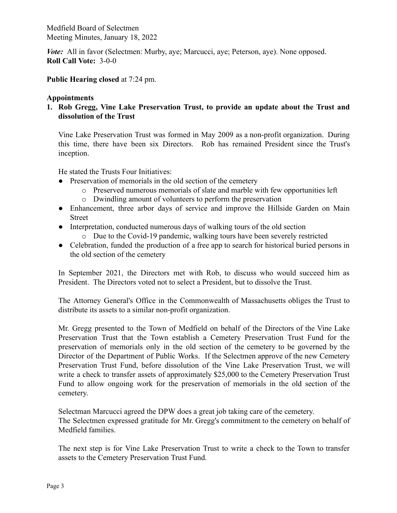*Vote*: All in favor (Selectmen: Murby, aye; Marcucci, aye; Peterson, aye). None opposed. **Roll Call Vote:** 3-0-0

**Public Hearing closed** at 7:24 pm.

## **Appointments**

**1. Rob Gregg, Vine Lake Preservation Trust, to provide an update about the Trust and dissolution of the Trust**

Vine Lake Preservation Trust was formed in May 2009 as a non-profit organization. During this time, there have been six Directors. Rob has remained President since the Trust's inception.

He stated the Trusts Four Initiatives:

- Preservation of memorials in the old section of the cemetery
	- o Preserved numerous memorials of slate and marble with few opportunities left
	- o Dwindling amount of volunteers to perform the preservation
- Enhancement, three arbor days of service and improve the Hillside Garden on Main Street
- Interpretation, conducted numerous days of walking tours of the old section
	- o Due to the Covid-19 pandemic, walking tours have been severely restricted
- Celebration, funded the production of a free app to search for historical buried persons in the old section of the cemetery

In September 2021, the Directors met with Rob, to discuss who would succeed him as President. The Directors voted not to select a President, but to dissolve the Trust.

The Attorney General's Office in the Commonwealth of Massachusetts obliges the Trust to distribute its assets to a similar non-profit organization.

Mr. Gregg presented to the Town of Medfield on behalf of the Directors of the Vine Lake Preservation Trust that the Town establish a Cemetery Preservation Trust Fund for the preservation of memorials only in the old section of the cemetery to be governed by the Director of the Department of Public Works. If the Selectmen approve of the new Cemetery Preservation Trust Fund, before dissolution of the Vine Lake Preservation Trust, we will write a check to transfer assets of approximately \$25,000 to the Cemetery Preservation Trust Fund to allow ongoing work for the preservation of memorials in the old section of the cemetery.

Selectman Marcucci agreed the DPW does a great job taking care of the cemetery. The Selectmen expressed gratitude for Mr. Gregg's commitment to the cemetery on behalf of Medfield families.

The next step is for Vine Lake Preservation Trust to write a check to the Town to transfer assets to the Cemetery Preservation Trust Fund.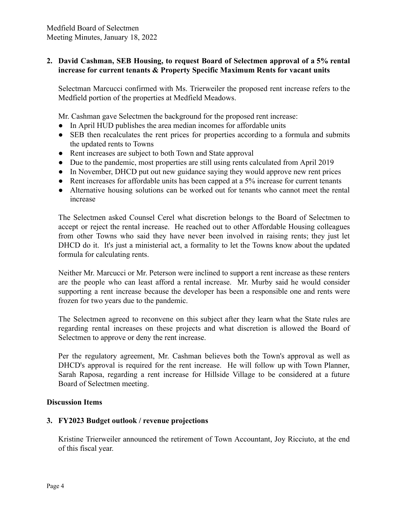# **2. David Cashman, SEB Housing, to request Board of Selectmen approval of a 5% rental increase for current tenants & Property Specific Maximum Rents for vacant units**

Selectman Marcucci confirmed with Ms. Trierweiler the proposed rent increase refers to the Medfield portion of the properties at Medfield Meadows.

Mr. Cashman gave Selectmen the background for the proposed rent increase:

- In April HUD publishes the area median incomes for affordable units
- SEB then recalculates the rent prices for properties according to a formula and submits the updated rents to Towns
- Rent increases are subject to both Town and State approval
- Due to the pandemic, most properties are still using rents calculated from April 2019
- In November, DHCD put out new guidance saying they would approve new rent prices
- Rent increases for affordable units has been capped at a 5% increase for current tenants
- Alternative housing solutions can be worked out for tenants who cannot meet the rental increase

The Selectmen asked Counsel Cerel what discretion belongs to the Board of Selectmen to accept or reject the rental increase. He reached out to other Affordable Housing colleagues from other Towns who said they have never been involved in raising rents; they just let DHCD do it. It's just a ministerial act, a formality to let the Towns know about the updated formula for calculating rents.

Neither Mr. Marcucci or Mr. Peterson were inclined to support a rent increase as these renters are the people who can least afford a rental increase. Mr. Murby said he would consider supporting a rent increase because the developer has been a responsible one and rents were frozen for two years due to the pandemic.

The Selectmen agreed to reconvene on this subject after they learn what the State rules are regarding rental increases on these projects and what discretion is allowed the Board of Selectmen to approve or deny the rent increase.

Per the regulatory agreement, Mr. Cashman believes both the Town's approval as well as DHCD's approval is required for the rent increase. He will follow up with Town Planner, Sarah Raposa, regarding a rent increase for Hillside Village to be considered at a future Board of Selectmen meeting.

## **Discussion Items**

## **3. FY2023 Budget outlook / revenue projections**

Kristine Trierweiler announced the retirement of Town Accountant, Joy Ricciuto, at the end of this fiscal year.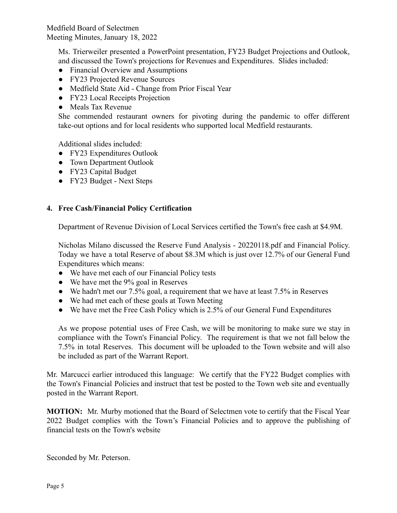> Ms. Trierweiler presented a PowerPoint presentation, FY23 Budget Projections and Outlook, and discussed the Town's projections for Revenues and Expenditures. Slides included:

- Financial Overview and Assumptions
- FY23 Projected Revenue Sources
- Medfield State Aid Change from Prior Fiscal Year
- FY23 Local Receipts Projection
- Meals Tax Revenue

She commended restaurant owners for pivoting during the pandemic to offer different take-out options and for local residents who supported local Medfield restaurants.

Additional slides included:

- FY23 Expenditures Outlook
- Town Department Outlook
- FY23 Capital Budget
- FY23 Budget Next Steps

# **4. Free Cash/Financial Policy Certification**

Department of Revenue Division of Local Services certified the Town's free cash at \$4.9M.

Nicholas Milano discussed the Reserve Fund Analysis - 20220118.pdf and Financial Policy. Today we have a total Reserve of about \$8.3M which is just over 12.7% of our General Fund Expenditures which means:

- We have met each of our Financial Policy tests
- We have met the 9% goal in Reserves
- We hadn't met our  $7.5\%$  goal, a requirement that we have at least  $7.5\%$  in Reserves
- We had met each of these goals at Town Meeting
- We have met the Free Cash Policy which is 2.5% of our General Fund Expenditures

As we propose potential uses of Free Cash, we will be monitoring to make sure we stay in compliance with the Town's Financial Policy. The requirement is that we not fall below the 7.5% in total Reserves. This document will be uploaded to the Town website and will also be included as part of the Warrant Report.

Mr. Marcucci earlier introduced this language: We certify that the FY22 Budget complies with the Town's Financial Policies and instruct that test be posted to the Town web site and eventually posted in the Warrant Report.

**MOTION:** Mr. Murby motioned that the Board of Selectmen vote to certify that the Fiscal Year 2022 Budget complies with the Town's Financial Policies and to approve the publishing of financial tests on the Town's website

Seconded by Mr. Peterson.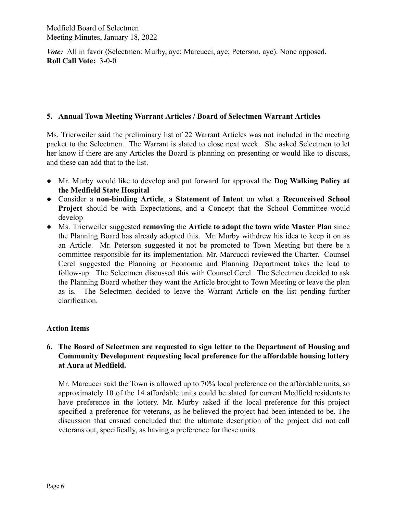*Vote*: All in favor (Selectmen: Murby, aye; Marcucci, aye; Peterson, aye). None opposed. **Roll Call Vote:** 3-0-0

## **5. Annual Town Meeting Warrant Articles / Board of Selectmen Warrant Articles**

Ms. Trierweiler said the preliminary list of 22 Warrant Articles was not included in the meeting packet to the Selectmen. The Warrant is slated to close next week. She asked Selectmen to let her know if there are any Articles the Board is planning on presenting or would like to discuss, and these can add that to the list.

- **●** Mr. Murby would like to develop and put forward for approval the **Dog Walking Policy at the Medfield State Hospital**
- Consider a **non-binding Article**, a **Statement of Intent** on what a **Reconceived School Project** should be with Expectations, and a Concept that the School Committee would develop
- Ms. Trierweiler suggested **removing** the **Article to adopt the town wide Master Plan** since the Planning Board has already adopted this. Mr. Murby withdrew his idea to keep it on as an Article. Mr. Peterson suggested it not be promoted to Town Meeting but there be a committee responsible for its implementation. Mr. Marcucci reviewed the Charter. Counsel Cerel suggested the Planning or Economic and Planning Department takes the lead to follow-up. The Selectmen discussed this with Counsel Cerel. The Selectmen decided to ask the Planning Board whether they want the Article brought to Town Meeting or leave the plan as is. The Selectmen decided to leave the Warrant Article on the list pending further clarification.

# **Action Items**

# **6. The Board of Selectmen are requested to sign letter to the Department of Housing and Community Development requesting local preference for the affordable housing lottery at Aura at Medfield.**

Mr. Marcucci said the Town is allowed up to 70% local preference on the affordable units, so approximately 10 of the 14 affordable units could be slated for current Medfield residents to have preference in the lottery. Mr. Murby asked if the local preference for this project specified a preference for veterans, as he believed the project had been intended to be. The discussion that ensued concluded that the ultimate description of the project did not call veterans out, specifically, as having a preference for these units.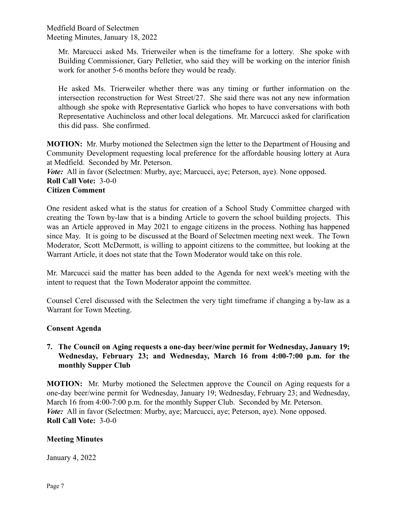> Mr. Marcucci asked Ms. Trierweiler when is the timeframe for a lottery. She spoke with Building Commissioner, Gary Pelletier, who said they will be working on the interior finish work for another 5-6 months before they would be ready.

> He asked Ms. Trierweiler whether there was any timing or further information on the intersection reconstruction for West Street/27. She said there was not any new information although she spoke with Representative Garlick who hopes to have conversations with both Representative Auchincloss and other local delegations. Mr. Marcucci asked for clarification this did pass. She confirmed.

**MOTION:** Mr. Murby motioned the Selectmen sign the letter to the Department of Housing and Community Development requesting local preference for the affordable housing lottery at Aura at Medfield. Seconded by Mr. Peterson.

*Vote*: All in favor (Selectmen: Murby, aye; Marcucci, aye; Peterson, aye). None opposed.

### **Roll Call Vote:** 3-0-0 **Citizen Comment**

One resident asked what is the status for creation of a School Study Committee charged with creating the Town by-law that is a binding Article to govern the school building projects. This was an Article approved in May 2021 to engage citizens in the process. Nothing has happened since May. It is going to be discussed at the Board of Selectmen meeting next week. The Town Moderator, Scott McDermott, is willing to appoint citizens to the committee, but looking at the Warrant Article, it does not state that the Town Moderator would take on this role.

Mr. Marcucci said the matter has been added to the Agenda for next week's meeting with the intent to request that the Town Moderator appoint the committee.

Counsel Cerel discussed with the Selectmen the very tight timeframe if changing a by-law as a Warrant for Town Meeting.

# **Consent Agenda**

# **7. The Council on Aging requests a one-day beer/wine permit for Wednesday, January 19; Wednesday, February 23; and Wednesday, March 16 from 4:00-7:00 p.m. for the monthly Supper Club**

**MOTION:** Mr. Murby motioned the Selectmen approve the Council on Aging requests for a one-day beer/wine permit for Wednesday, January 19; Wednesday, February 23; and Wednesday, March 16 from 4:00-7:00 p.m. for the monthly Supper Club. Seconded by Mr. Peterson. *Vote*: All in favor (Selectmen: Murby, aye; Marcucci, aye; Peterson, aye). None opposed. **Roll Call Vote:** 3-0-0

# **Meeting Minutes**

January 4, 2022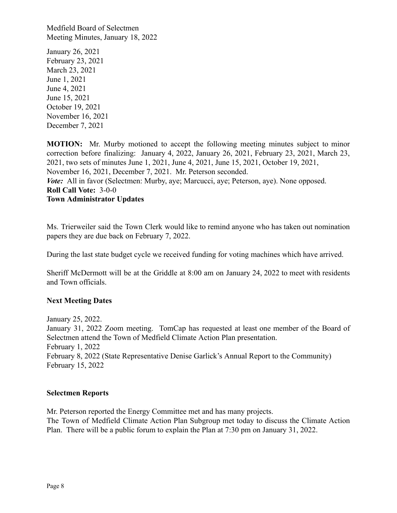January 26, 2021 February 23, 2021 March 23, 2021 June 1, 2021 June 4, 2021 June 15, 2021 October 19, 2021 November 16, 2021 December 7, 2021

**MOTION:** Mr. Murby motioned to accept the following meeting minutes subject to minor correction before finalizing: January 4, 2022, January 26, 2021, February 23, 2021, March 23, 2021, two sets of minutes June 1, 2021, June 4, 2021, June 15, 2021, October 19, 2021, November 16, 2021, December 7, 2021. Mr. Peterson seconded. *Vote:* All in favor (Selectmen: Murby, aye; Marcucci, aye; Peterson, aye). None opposed. **Roll Call Vote:** 3-0-0 **Town Administrator Updates**

Ms. Trierweiler said the Town Clerk would like to remind anyone who has taken out nomination papers they are due back on February 7, 2022.

During the last state budget cycle we received funding for voting machines which have arrived.

Sheriff McDermott will be at the Griddle at 8:00 am on January 24, 2022 to meet with residents and Town officials.

## **Next Meeting Dates**

January 25, 2022. January 31, 2022 Zoom meeting. TomCap has requested at least one member of the Board of Selectmen attend the Town of Medfield Climate Action Plan presentation. February 1, 2022 February 8, 2022 (State Representative Denise Garlick's Annual Report to the Community) February 15, 2022

## **Selectmen Reports**

Mr. Peterson reported the Energy Committee met and has many projects. The Town of Medfield Climate Action Plan Subgroup met today to discuss the Climate Action Plan. There will be a public forum to explain the Plan at 7:30 pm on January 31, 2022.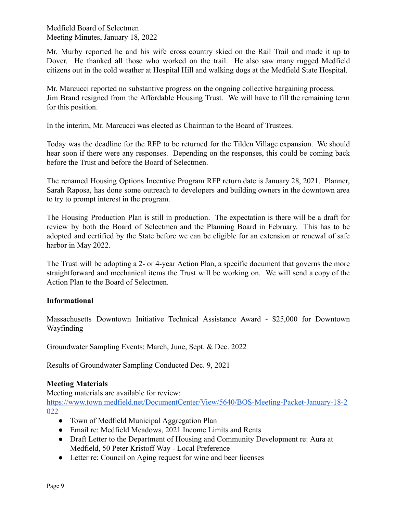Mr. Murby reported he and his wife cross country skied on the Rail Trail and made it up to Dover. He thanked all those who worked on the trail. He also saw many rugged Medfield citizens out in the cold weather at Hospital Hill and walking dogs at the Medfield State Hospital.

Mr. Marcucci reported no substantive progress on the ongoing collective bargaining process. Jim Brand resigned from the Affordable Housing Trust. We will have to fill the remaining term for this position.

In the interim, Mr. Marcucci was elected as Chairman to the Board of Trustees.

Today was the deadline for the RFP to be returned for the Tilden Village expansion. We should hear soon if there were any responses. Depending on the responses, this could be coming back before the Trust and before the Board of Selectmen.

The renamed Housing Options Incentive Program RFP return date is January 28, 2021. Planner, Sarah Raposa, has done some outreach to developers and building owners in the downtown area to try to prompt interest in the program.

The Housing Production Plan is still in production. The expectation is there will be a draft for review by both the Board of Selectmen and the Planning Board in February. This has to be adopted and certified by the State before we can be eligible for an extension or renewal of safe harbor in May 2022.

The Trust will be adopting a 2- or 4-year Action Plan, a specific document that governs the more straightforward and mechanical items the Trust will be working on. We will send a copy of the Action Plan to the Board of Selectmen.

# **Informational**

Massachusetts Downtown Initiative Technical Assistance Award - \$25,000 for Downtown Wayfinding

Groundwater Sampling Events: March, June, Sept. & Dec. 2022

Results of Groundwater Sampling Conducted Dec. 9, 2021

# **Meeting Materials**

Meeting materials are available for review:

[https://www.town.medfield.net/DocumentCenter/View/5640/BOS-Meeting-Packet-January-18-2](https://www.town.medfield.net/DocumentCenter/View/5640/BOS-Meeting-Packet-January-18-2022) [022](https://www.town.medfield.net/DocumentCenter/View/5640/BOS-Meeting-Packet-January-18-2022)

- Town of Medfield Municipal Aggregation Plan
- Email re: Medfield Meadows, 2021 Income Limits and Rents
- Draft Letter to the Department of Housing and Community Development re: Aura at Medfield, 50 Peter Kristoff Way - Local Preference
- Letter re: Council on Aging request for wine and beer licenses